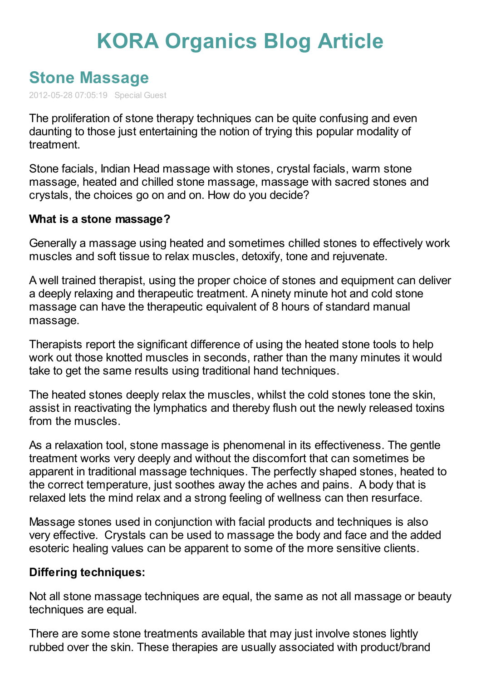## **KORA [Organics](http://www.koraorganics.com/blog) Blog Article**

## **Stone [Massage](http://www.koraorganics.com/blog/live-in-my-skin/all-things-organic/organic-certification/stone-massage/)**

2012-05-28 07:05:19 Special Guest

The proliferation of stone therapy techniques can be quite confusing and even daunting to those just entertaining the notion of trying this popular modality of treatment.

Stone facials, Indian Head massage with stones, crystal facials, warm stone massage, heated and chilled stone massage, massage with sacred stones and crystals, the choices go on and on. How do you decide?

## **What is a stone massage?**

Generally a massage using heated and sometimes chilled stones to effectively work muscles and soft tissue to relax muscles, detoxify, tone and rejuvenate.

A well trained therapist, using the proper choice of stones and equipment can deliver a deeply relaxing and therapeutic treatment. A ninety minute hot and cold stone massage can have the therapeutic equivalent of 8 hours of standard manual massage.

Therapists report the significant difference of using the heated stone tools to help work out those knotted muscles in seconds, rather than the many minutes it would take to get the same results using traditional hand techniques.

The heated stones deeply relax the muscles, whilst the cold stones tone the skin, assist in reactivating the lymphatics and thereby flush out the newly released toxins from the muscles.

As a relaxation tool, stone massage is phenomenal in its effectiveness. The gentle treatment works very deeply and without the discomfort that can sometimes be apparent in traditional massage techniques. The perfectly shaped stones, heated to the correct temperature, just soothes away the aches and pains. A body that is relaxed lets the mind relax and a strong feeling of wellness can then resurface.

Massage stones used in conjunction with facial products and techniques is also very effective. Crystals can be used to massage the body and face and the added esoteric healing values can be apparent to some of the more sensitive clients.

## **Differing techniques:**

Not all stone massage techniques are equal, the same as not all massage or beauty techniques are equal.

There are some stone treatments available that may just involve stones lightly rubbed over the skin. These therapies are usually associated with product/brand